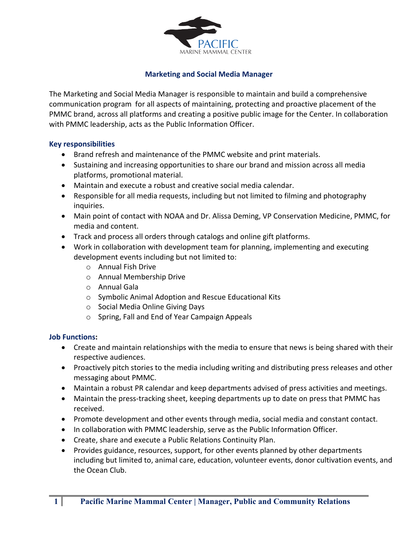

# **Marketing and Social Media Manager**

The Marketing and Social Media Manager is responsible to maintain and build a comprehensive communication program for all aspects of maintaining, protecting and proactive placement of the PMMC brand, across all platforms and creating a positive public image for the Center. In collaboration with PMMC leadership, acts as the Public Information Officer.

## **Key responsibilities**

- Brand refresh and maintenance of the PMMC website and print materials.
- Sustaining and increasing opportunities to share our brand and mission across all media platforms, promotional material.
- Maintain and execute a robust and creative social media calendar.
- Responsible for all media requests, including but not limited to filming and photography inquiries.
- Main point of contact with NOAA and Dr. Alissa Deming, VP Conservation Medicine, PMMC, for media and content.
- Track and process all orders through catalogs and online gift platforms.
- Work in collaboration with development team for planning, implementing and executing development events including but not limited to:
	- o Annual Fish Drive
	- o Annual Membership Drive
	- o Annual Gala
	- o Symbolic Animal Adoption and Rescue Educational Kits
	- o Social Media Online Giving Days
	- o Spring, Fall and End of Year Campaign Appeals

### **Job Functions:**

- Create and maintain relationships with the media to ensure that news is being shared with their respective audiences.
- Proactively pitch stories to the media including writing and distributing press releases and other messaging about PMMC.
- Maintain a robust PR calendar and keep departments advised of press activities and meetings.
- Maintain the press-tracking sheet, keeping departments up to date on press that PMMC has received.
- Promote development and other events through media, social media and constant contact.
- In collaboration with PMMC leadership, serve as the Public Information Officer.
- Create, share and execute a Public Relations Continuity Plan.
- Provides guidance, resources, support, for other events planned by other departments including but limited to, animal care, education, volunteer events, donor cultivation events, and the Ocean Club.